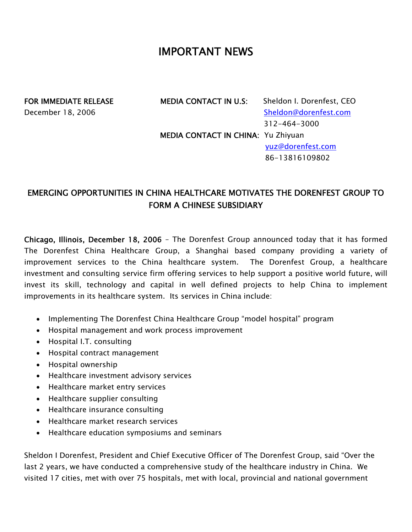## IMPORTANT NEWS

FOR IMMEDIATE RELEASE MEDIA CONTACT IN U.S: Sheldon I. Dorenfest, CEO December 18, 2006 Sheldon@dorenfest.com 312-464-3000 MEDIA CONTACT IN CHINA: Yu Zhiyuan yuz@dorenfest.com 86-13816109802

## EMERGING OPPORTUNITIES IN CHINA HEALTHCARE MOTIVATES THE DORENFEST GROUP TO FORM A CHINESE SUBSIDIARY

Chicago, Illinois, December 18, 2006 – The Dorenfest Group announced today that it has formed The Dorenfest China Healthcare Group, a Shanghai based company providing a variety of improvement services to the China healthcare system. The Dorenfest Group, a healthcare investment and consulting service firm offering services to help support a positive world future, will invest its skill, technology and capital in well defined projects to help China to implement improvements in its healthcare system. Its services in China include:

- Implementing The Dorenfest China Healthcare Group "model hospital" program
- Hospital management and work process improvement
- Hospital I.T. consulting
- Hospital contract management
- Hospital ownership
- Healthcare investment advisory services
- Healthcare market entry services
- Healthcare supplier consulting
- Healthcare insurance consulting
- Healthcare market research services
- Healthcare education symposiums and seminars

Sheldon I Dorenfest, President and Chief Executive Officer of The Dorenfest Group, said "Over the last 2 years, we have conducted a comprehensive study of the healthcare industry in China. We visited 17 cities, met with over 75 hospitals, met with local, provincial and national government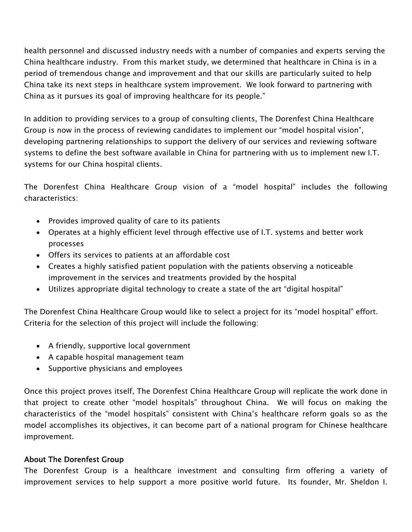health personnel and discussed industry needs with a number of companies and experts serving the China healthcare industry. From this market study, we determined that healthcare in China is in a period of tremendous change and improvement and that our skills are particularly suited to help China take its next steps in healthcare system improvement. We look forward to partnering with China as it pursues its goal of improving healthcare for its people."

In addition to providing services to a group of consulting clients, The Dorenfest China Healthcare Group is now in the process of reviewing candidates to implement our "model hospital vision", developing partnering relationships to support the delivery of our services and reviewing software systems to define the best software available in China for partnering with us to implement new I.T. systems for our China hospital clients.

The Dorenfest China Healthcare Group vision of a "model hospital" includes the following characteristics:

- Provides improved quality of care to its patients
- Operates at a highly efficient level through effective use of I.T. systems and better work processes
- Offers its services to patients at an affordable cost
- Creates a highly satisfied patient population with the patients observing a noticeable improvement in the services and treatments provided by the hospital
- Utilizes appropriate digital technology to create a state of the art "digital hospital"

The Dorenfest China Healthcare Group would like to select a project for its "model hospital" effort. Criteria for the selection of this project will include the following:

- A friendly, supportive local government
- A capable hospital management team
- Supportive physicians and employees

Once this project proves itself, The Dorenfest China Healthcare Group will replicate the work done in that project to create other "model hospitals" throughout China. We will focus on making the characteristics of the "model hospitals" consistent with China's healthcare reform goals so as the model accomplishes its objectives, it can become part of a national program for Chinese healthcare improvement.

## About The Dorenfest Group

The Dorenfest Group is a healthcare investment and consulting firm offering a variety of improvement services to help support a more positive world future. Its founder, Mr. Sheldon I.